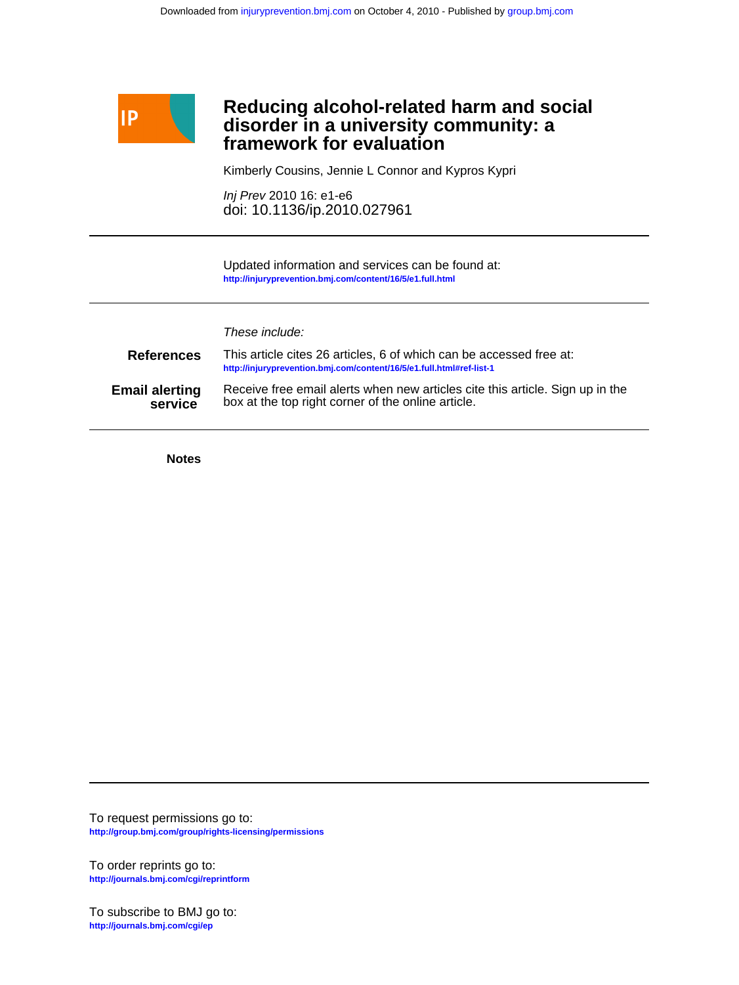

## **framework for evaluation disorder in a university community: a Reducing alcohol-related harm and social**

Kimberly Cousins, Jennie L Connor and Kypros Kypri

doi: 10.1136/ip.2010.027961 Inj Prev 2010 16: e1-e6

**<http://injuryprevention.bmj.com/content/16/5/e1.full.html>** Updated information and services can be found at:

| These include: |  |  |
|----------------|--|--|
|                |  |  |

| <b>References</b>     | This article cites 26 articles. 6 of which can be accessed free at:<br>http://injuryprevention.bmj.com/content/16/5/e1.full.html#ref-list-1 |
|-----------------------|---------------------------------------------------------------------------------------------------------------------------------------------|
| <b>Email alerting</b> | Receive free email alerts when new articles cite this article. Sign up in the                                                               |
| service               | box at the top right corner of the online article.                                                                                          |

**Notes**

**<http://group.bmj.com/group/rights-licensing/permissions>** To request permissions go to:

**<http://journals.bmj.com/cgi/reprintform>** To order reprints go to:

**<http://journals.bmj.com/cgi/ep>** To subscribe to BMJ go to: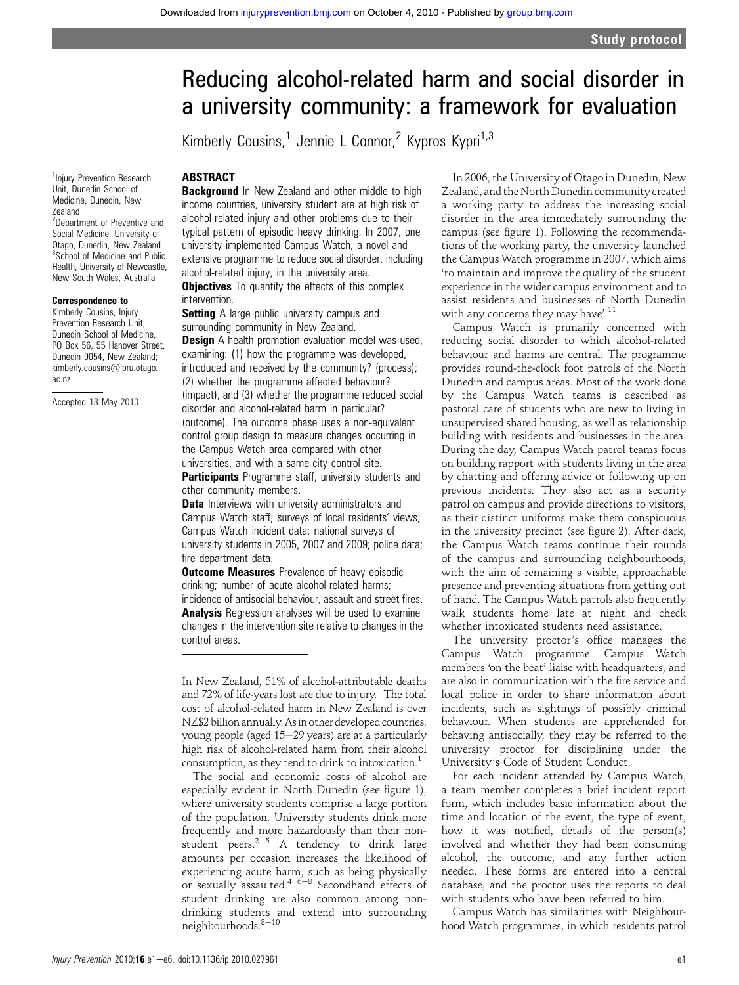# Reducing alcohol-related harm and social disorder in a university community: a framework for evaluation

Kimberly Cousins,<sup>1</sup> Jennie L Connor,<sup>2</sup> Kypros Kypri<sup>1,3</sup>

#### **ABSTRACT**

**Background** In New Zealand and other middle to high income countries, university student are at high risk of alcohol-related injury and other problems due to their typical pattern of episodic heavy drinking. In 2007, one university implemented Campus Watch, a novel and extensive programme to reduce social disorder, including alcohol-related injury, in the university area. **Objectives** To quantify the effects of this complex intervention.

**Setting** A large public university campus and surrounding community in New Zealand.

**Design** A health promotion evaluation model was used, examining: (1) how the programme was developed, introduced and received by the community? (process); (2) whether the programme affected behaviour? (impact); and (3) whether the programme reduced social disorder and alcohol-related harm in particular? (outcome). The outcome phase uses a non-equivalent control group design to measure changes occurring in the Campus Watch area compared with other universities, and with a same-city control site.

Participants Programme staff, university students and other community members.

Data Interviews with university administrators and Campus Watch staff; surveys of local residents' views; Campus Watch incident data; national surveys of university students in 2005, 2007 and 2009; police data; fire department data.

**Outcome Measures** Prevalence of heavy episodic drinking; number of acute alcohol-related harms; incidence of antisocial behaviour, assault and street fires. Analysis Regression analyses will be used to examine changes in the intervention site relative to changes in the control areas.

In New Zealand, 51% of alcohol-attributable deaths and 72% of life-years lost are due to injury.<sup>1</sup> The total cost of alcohol-related harm in New Zealand is over NZ\$2 billion annually.As in other developed countries, young people (aged 15-29 years) are at a particularly high risk of alcohol-related harm from their alcohol consumption, as they tend to drink to intoxication.1

The social and economic costs of alcohol are especially evident in North Dunedin (see figure 1), where university students comprise a large portion of the population. University students drink more frequently and more hazardously than their nonstudent peers. $2-5$  A tendency to drink large amounts per occasion increases the likelihood of experiencing acute harm, such as being physically<br>or sexually assaulted.<sup>4 6–8</sup> Secondhand effects of student drinking are also common among nondrinking students and extend into surrounding  $neighbourhoods.<sup>8-10</sup>$ 

In 2006, the University of Otago in Dunedin, New Zealand, and the North Dunedin community created a working party to address the increasing social disorder in the area immediately surrounding the campus (see figure 1). Following the recommendations of the working party, the university launched the Campus Watch programme in 2007, which aims 'to maintain and improve the quality of the student experience in the wider campus environment and to assist residents and businesses of North Dunedin with any concerns they may have'.<sup>11</sup>

Campus Watch is primarily concerned with reducing social disorder to which alcohol-related behaviour and harms are central. The programme provides round-the-clock foot patrols of the North Dunedin and campus areas. Most of the work done by the Campus Watch teams is described as pastoral care of students who are new to living in unsupervised shared housing, as well as relationship building with residents and businesses in the area. During the day, Campus Watch patrol teams focus on building rapport with students living in the area by chatting and offering advice or following up on previous incidents. They also act as a security patrol on campus and provide directions to visitors, as their distinct uniforms make them conspicuous in the university precinct (see figure 2). After dark, the Campus Watch teams continue their rounds of the campus and surrounding neighbourhoods, with the aim of remaining a visible, approachable presence and preventing situations from getting out of hand. The Campus Watch patrols also frequently walk students home late at night and check whether intoxicated students need assistance.

The university proctor's office manages the Campus Watch programme. Campus Watch members 'on the beat' liaise with headquarters, and are also in communication with the fire service and local police in order to share information about incidents, such as sightings of possibly criminal behaviour. When students are apprehended for behaving antisocially, they may be referred to the university proctor for disciplining under the University's Code of Student Conduct.

For each incident attended by Campus Watch, a team member completes a brief incident report form, which includes basic information about the time and location of the event, the type of event, how it was notified, details of the person(s) involved and whether they had been consuming alcohol, the outcome, and any further action needed. These forms are entered into a central database, and the proctor uses the reports to deal with students who have been referred to him.

Campus Watch has similarities with Neighbourhood Watch programmes, in which residents patrol

<sup>1</sup>Injury Prevention Research Unit, Dunedin School of Medicine, Dunedin, New Zealand <sup>2</sup>Department of Preventive and Social Medicine, University of Otago, Dunedin, New Zealand <sup>3</sup>School of Medicine and Public Health, University of Newcastle, New South Wales, Australia

#### Correspondence to

Kimberly Cousins, Injury Prevention Research Unit, Dunedin School of Medicine, PO Box 56, 55 Hanover Street, Dunedin 9054, New Zealand; kimberly.cousins@ipru.otago. ac.nz

Accepted 13 May 2010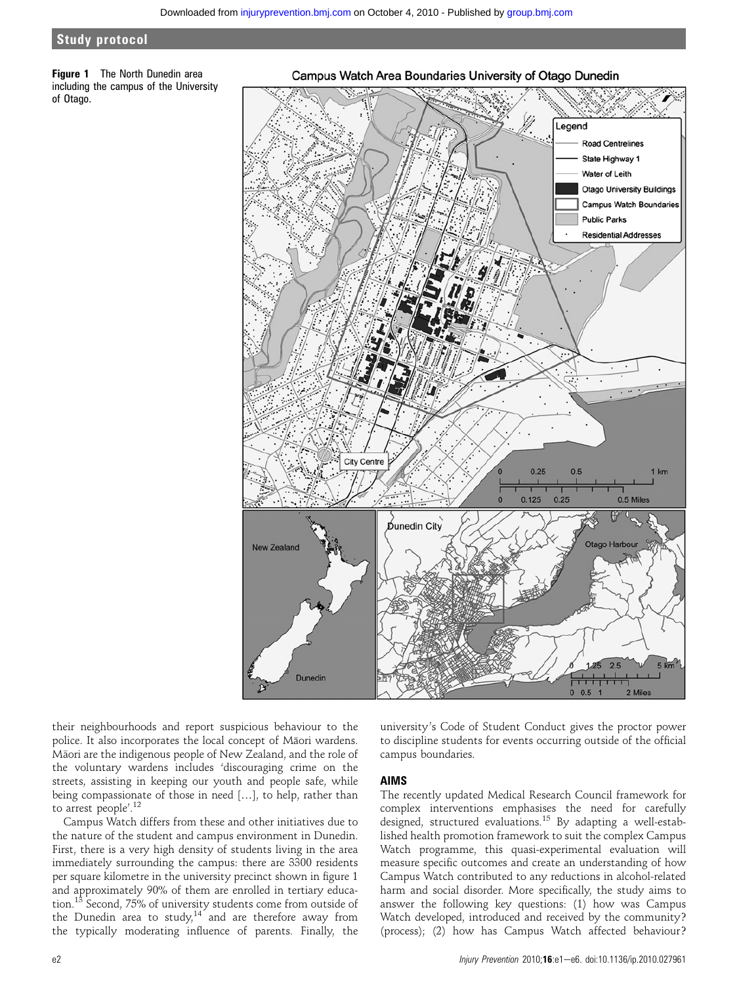#### Study protocol

**Figure 1** The North Dunedin area including the campus of the University of Otago.

#### Campus Watch Area Boundaries University of Otago Dunedin



their neighbourhoods and report suspicious behaviour to the police. It also incorporates the local concept of Maori wardens. Maori are the indigenous people of New Zealand, and the role of the voluntary wardens includes 'discouraging crime on the streets, assisting in keeping our youth and people safe, while being compassionate of those in need [...], to help, rather than to arrest people'. 12

Campus Watch differs from these and other initiatives due to the nature of the student and campus environment in Dunedin. First, there is a very high density of students living in the area immediately surrounding the campus: there are 3300 residents per square kilometre in the university precinct shown in figure 1 and approximately 90% of them are enrolled in tertiary education.<sup>13</sup> Second, 75% of university students come from outside of the Dunedin area to study, $14$  and are therefore away from the typically moderating influence of parents. Finally, the university's Code of Student Conduct gives the proctor power to discipline students for events occurring outside of the official campus boundaries.

#### AIMS

The recently updated Medical Research Council framework for complex interventions emphasises the need for carefully designed, structured evaluations.<sup>15</sup> By adapting a well-established health promotion framework to suit the complex Campus Watch programme, this quasi-experimental evaluation will measure specific outcomes and create an understanding of how Campus Watch contributed to any reductions in alcohol-related harm and social disorder. More specifically, the study aims to answer the following key questions: (1) how was Campus Watch developed, introduced and received by the community? (process); (2) how has Campus Watch affected behaviour?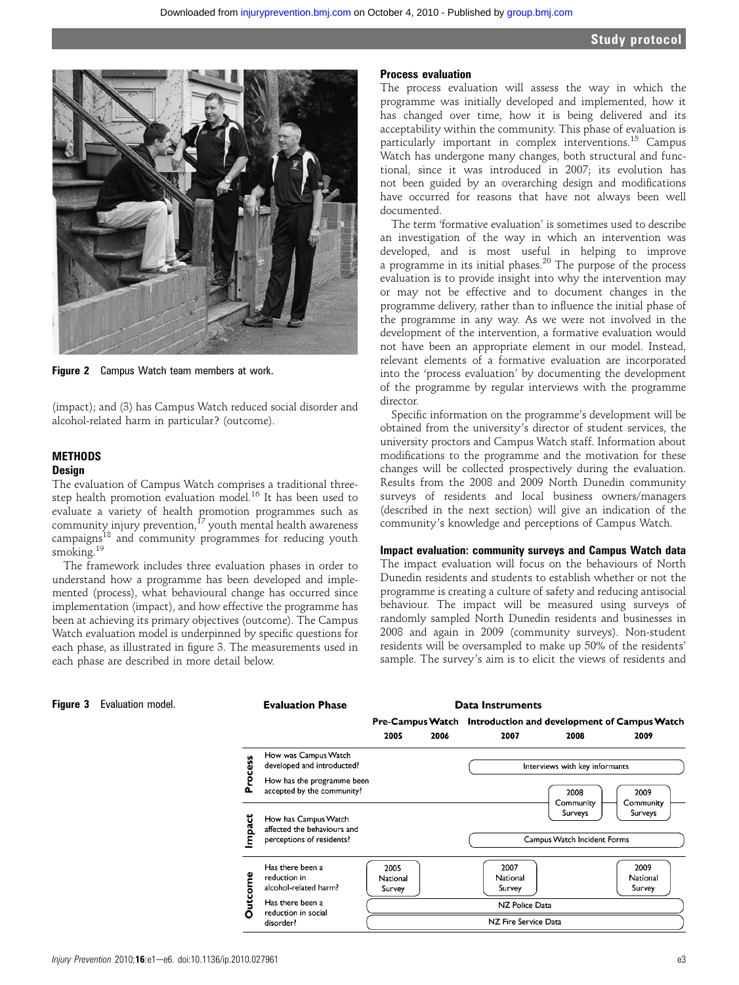

Figure 2 Campus Watch team members at work.

(impact); and (3) has Campus Watch reduced social disorder and alcohol-related harm in particular? (outcome).

# **METHODS**

### **Design**

The evaluation of Campus Watch comprises a traditional threestep health promotion evaluation model.<sup>16</sup> It has been used to evaluate a variety of health promotion programmes such as community injury prevention, $^{17}$  youth mental health awareness campaigns<sup>18</sup> and community programmes for reducing youth smoking.<sup>19</sup>

The framework includes three evaluation phases in order to understand how a programme has been developed and implemented (process), what behavioural change has occurred since implementation (impact), and how effective the programme has been at achieving its primary objectives (outcome). The Campus Watch evaluation model is underpinned by specific questions for each phase, as illustrated in figure 3. The measurements used in each phase are described in more detail below.

#### Process evaluation

The process evaluation will assess the way in which the programme was initially developed and implemented, how it has changed over time, how it is being delivered and its acceptability within the community. This phase of evaluation is particularly important in complex interventions.<sup>15</sup> Campus Watch has undergone many changes, both structural and functional, since it was introduced in 2007; its evolution has not been guided by an overarching design and modifications have occurred for reasons that have not always been well documented.

The term 'formative evaluation' is sometimes used to describe an investigation of the way in which an intervention was developed, and is most useful in helping to improve a programme in its initial phases.<sup>20</sup> The purpose of the process evaluation is to provide insight into why the intervention may or may not be effective and to document changes in the programme delivery, rather than to influence the initial phase of the programme in any way. As we were not involved in the development of the intervention, a formative evaluation would not have been an appropriate element in our model. Instead, relevant elements of a formative evaluation are incorporated into the 'process evaluation' by documenting the development of the programme by regular interviews with the programme director.

Specific information on the programme's development will be obtained from the university's director of student services, the university proctors and Campus Watch staff. Information about modifications to the programme and the motivation for these changes will be collected prospectively during the evaluation. Results from the 2008 and 2009 North Dunedin community surveys of residents and local business owners/managers (described in the next section) will give an indication of the community's knowledge and perceptions of Campus Watch.

#### Impact evaluation: community surveys and Campus Watch data

The impact evaluation will focus on the behaviours of North Dunedin residents and students to establish whether or not the programme is creating a culture of safety and reducing antisocial behaviour. The impact will be measured using surveys of randomly sampled North Dunedin residents and businesses in 2008 and again in 2009 (community surveys). Non-student residents will be oversampled to make up 50% of the residents' sample. The survey's aim is to elicit the views of residents and

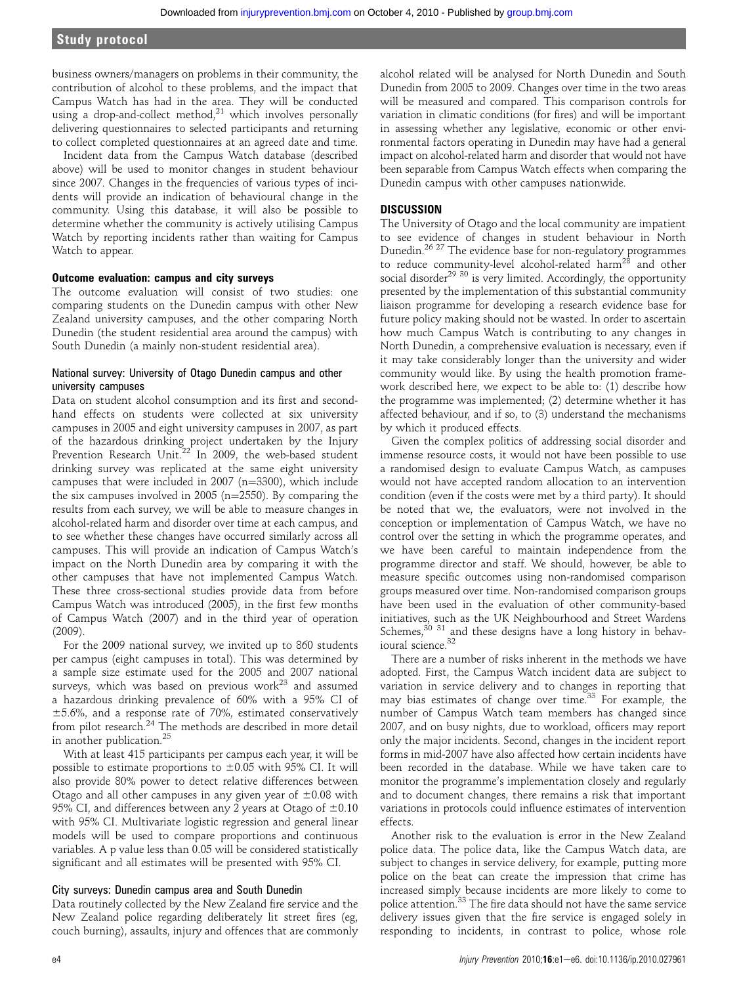business owners/managers on problems in their community, the contribution of alcohol to these problems, and the impact that Campus Watch has had in the area. They will be conducted using a drop-and-collect method, $21$  which involves personally delivering questionnaires to selected participants and returning to collect completed questionnaires at an agreed date and time.

Incident data from the Campus Watch database (described above) will be used to monitor changes in student behaviour since 2007. Changes in the frequencies of various types of incidents will provide an indication of behavioural change in the community. Using this database, it will also be possible to determine whether the community is actively utilising Campus Watch by reporting incidents rather than waiting for Campus Watch to appear.

#### Outcome evaluation: campus and city surveys

The outcome evaluation will consist of two studies: one comparing students on the Dunedin campus with other New Zealand university campuses, and the other comparing North Dunedin (the student residential area around the campus) with South Dunedin (a mainly non-student residential area).

#### National survey: University of Otago Dunedin campus and other university campuses

Data on student alcohol consumption and its first and secondhand effects on students were collected at six university campuses in 2005 and eight university campuses in 2007, as part of the hazardous drinking project undertaken by the Injury Prevention Research Unit.<sup>22</sup> In 2009, the web-based student drinking survey was replicated at the same eight university campuses that were included in 2007 ( $n=3300$ ), which include the six campuses involved in  $2005$  (n= $2550$ ). By comparing the results from each survey, we will be able to measure changes in alcohol-related harm and disorder over time at each campus, and to see whether these changes have occurred similarly across all campuses. This will provide an indication of Campus Watch's impact on the North Dunedin area by comparing it with the other campuses that have not implemented Campus Watch. These three cross-sectional studies provide data from before Campus Watch was introduced (2005), in the first few months of Campus Watch (2007) and in the third year of operation (2009).

For the 2009 national survey, we invited up to 860 students per campus (eight campuses in total). This was determined by a sample size estimate used for the 2005 and 2007 national surveys, which was based on previous work $^{23}$  and assumed a hazardous drinking prevalence of 60% with a 95% CI of  $±5.6%$ , and a response rate of 70%, estimated conservatively from pilot research.<sup>24</sup> The methods are described in more detail in another publication.<sup>25</sup>

With at least 415 participants per campus each year, it will be possible to estimate proportions to  $\pm 0.05$  with 95% CI. It will also provide 80% power to detect relative differences between Otago and all other campuses in any given year of  $\pm 0.08$  with 95% CI, and differences between any 2 years at Otago of  $\pm 0.10$ with 95% CI. Multivariate logistic regression and general linear models will be used to compare proportions and continuous variables. A p value less than 0.05 will be considered statistically significant and all estimates will be presented with 95% CI.

#### City surveys: Dunedin campus area and South Dunedin

Data routinely collected by the New Zealand fire service and the New Zealand police regarding deliberately lit street fires (eg, couch burning), assaults, injury and offences that are commonly

alcohol related will be analysed for North Dunedin and South Dunedin from 2005 to 2009. Changes over time in the two areas will be measured and compared. This comparison controls for variation in climatic conditions (for fires) and will be important in assessing whether any legislative, economic or other environmental factors operating in Dunedin may have had a general impact on alcohol-related harm and disorder that would not have been separable from Campus Watch effects when comparing the Dunedin campus with other campuses nationwide.

#### **DISCUSSION**

The University of Otago and the local community are impatient to see evidence of changes in student behaviour in North Dunedin.<sup>26</sup> <sup>27</sup> The evidence base for non-regulatory programmes to reduce community-level alcohol-related harm<sup>28</sup> and other social disorder<sup>29 30</sup> is very limited. Accordingly, the opportunity presented by the implementation of this substantial community liaison programme for developing a research evidence base for future policy making should not be wasted. In order to ascertain how much Campus Watch is contributing to any changes in North Dunedin, a comprehensive evaluation is necessary, even if it may take considerably longer than the university and wider community would like. By using the health promotion framework described here, we expect to be able to: (1) describe how the programme was implemented; (2) determine whether it has affected behaviour, and if so, to (3) understand the mechanisms by which it produced effects.

Given the complex politics of addressing social disorder and immense resource costs, it would not have been possible to use a randomised design to evaluate Campus Watch, as campuses would not have accepted random allocation to an intervention condition (even if the costs were met by a third party). It should be noted that we, the evaluators, were not involved in the conception or implementation of Campus Watch, we have no control over the setting in which the programme operates, and we have been careful to maintain independence from the programme director and staff. We should, however, be able to measure specific outcomes using non-randomised comparison groups measured over time. Non-randomised comparison groups have been used in the evaluation of other community-based initiatives, such as the UK Neighbourhood and Street Wardens Schemes, $30$  31 and these designs have a long history in behavioural science.<sup>32</sup>

There are a number of risks inherent in the methods we have adopted. First, the Campus Watch incident data are subject to variation in service delivery and to changes in reporting that may bias estimates of change over time.<sup>33</sup> For example, the number of Campus Watch team members has changed since 2007, and on busy nights, due to workload, officers may report only the major incidents. Second, changes in the incident report forms in mid-2007 have also affected how certain incidents have been recorded in the database. While we have taken care to monitor the programme's implementation closely and regularly and to document changes, there remains a risk that important variations in protocols could influence estimates of intervention effects.

Another risk to the evaluation is error in the New Zealand police data. The police data, like the Campus Watch data, are subject to changes in service delivery, for example, putting more police on the beat can create the impression that crime has increased simply because incidents are more likely to come to police attention.<sup>33</sup> The fire data should not have the same service delivery issues given that the fire service is engaged solely in responding to incidents, in contrast to police, whose role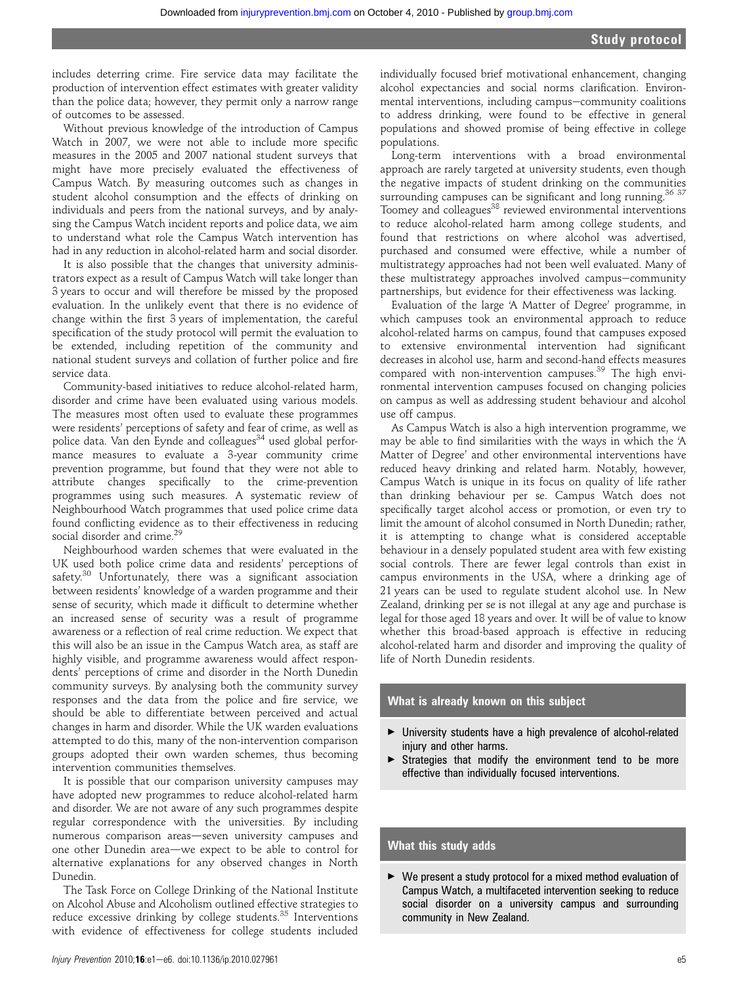includes deterring crime. Fire service data may facilitate the production of intervention effect estimates with greater validity than the police data; however, they permit only a narrow range of outcomes to be assessed.

Without previous knowledge of the introduction of Campus Watch in 2007, we were not able to include more specific measures in the 2005 and 2007 national student surveys that might have more precisely evaluated the effectiveness of Campus Watch. By measuring outcomes such as changes in student alcohol consumption and the effects of drinking on individuals and peers from the national surveys, and by analysing the Campus Watch incident reports and police data, we aim to understand what role the Campus Watch intervention has had in any reduction in alcohol-related harm and social disorder.

It is also possible that the changes that university administrators expect as a result of Campus Watch will take longer than 3 years to occur and will therefore be missed by the proposed evaluation. In the unlikely event that there is no evidence of change within the first 3 years of implementation, the careful specification of the study protocol will permit the evaluation to be extended, including repetition of the community and national student surveys and collation of further police and fire service data.

Community-based initiatives to reduce alcohol-related harm, disorder and crime have been evaluated using various models. The measures most often used to evaluate these programmes were residents' perceptions of safety and fear of crime, as well as police data. Van den Eynde and colleagues<sup>34</sup> used global performance measures to evaluate a 3-year community crime prevention programme, but found that they were not able to attribute changes specifically to the crime-prevention programmes using such measures. A systematic review of Neighbourhood Watch programmes that used police crime data found conflicting evidence as to their effectiveness in reducing social disorder and crime.<sup>29</sup>

Neighbourhood warden schemes that were evaluated in the UK used both police crime data and residents' perceptions of safety.<sup>30</sup> Unfortunately, there was a significant association between residents' knowledge of a warden programme and their sense of security, which made it difficult to determine whether an increased sense of security was a result of programme awareness or a reflection of real crime reduction. We expect that this will also be an issue in the Campus Watch area, as staff are highly visible, and programme awareness would affect respondents' perceptions of crime and disorder in the North Dunedin community surveys. By analysing both the community survey responses and the data from the police and fire service, we should be able to differentiate between perceived and actual changes in harm and disorder. While the UK warden evaluations attempted to do this, many of the non-intervention comparison groups adopted their own warden schemes, thus becoming intervention communities themselves.

It is possible that our comparison university campuses may have adopted new programmes to reduce alcohol-related harm and disorder. We are not aware of any such programmes despite regular correspondence with the universities. By including numerous comparison areas-seven university campuses and one other Dunedin area—we expect to be able to control for alternative explanations for any observed changes in North Dunedin.

The Task Force on College Drinking of the National Institute on Alcohol Abuse and Alcoholism outlined effective strategies to reduce excessive drinking by college students.<sup>35</sup> Interventions with evidence of effectiveness for college students included

individually focused brief motivational enhancement, changing alcohol expectancies and social norms clarification. Environmental interventions, including campus-community coalitions to address drinking, were found to be effective in general populations and showed promise of being effective in college populations.

Long-term interventions with a broad environmental approach are rarely targeted at university students, even though the negative impacts of student drinking on the communities surrounding campuses can be significant and long running.<sup>36 37</sup> Toomey and colleagues<sup>38</sup> reviewed environmental interventions to reduce alcohol-related harm among college students, and found that restrictions on where alcohol was advertised, purchased and consumed were effective, while a number of multistrategy approaches had not been well evaluated. Many of these multistrategy approaches involved campus-community partnerships, but evidence for their effectiveness was lacking.

Evaluation of the large 'A Matter of Degree' programme, in which campuses took an environmental approach to reduce alcohol-related harms on campus, found that campuses exposed to extensive environmental intervention had significant decreases in alcohol use, harm and second-hand effects measures compared with non-intervention campuses.<sup>39</sup> The high environmental intervention campuses focused on changing policies on campus as well as addressing student behaviour and alcohol use off campus.

As Campus Watch is also a high intervention programme, we may be able to find similarities with the ways in which the 'A Matter of Degree' and other environmental interventions have reduced heavy drinking and related harm. Notably, however, Campus Watch is unique in its focus on quality of life rather than drinking behaviour per se. Campus Watch does not specifically target alcohol access or promotion, or even try to limit the amount of alcohol consumed in North Dunedin; rather, it is attempting to change what is considered acceptable behaviour in a densely populated student area with few existing social controls. There are fewer legal controls than exist in campus environments in the USA, where a drinking age of 21 years can be used to regulate student alcohol use. In New Zealand, drinking per se is not illegal at any age and purchase is legal for those aged 18 years and over. It will be of value to know whether this broad-based approach is effective in reducing alcohol-related harm and disorder and improving the quality of life of North Dunedin residents.

#### What is already known on this subject

- < University students have a high prevalence of alcohol-related injury and other harms.
- $\triangleright$  Strategies that modify the environment tend to be more effective than individually focused interventions.

## What this study adds

< We present a study protocol for a mixed method evaluation of Campus Watch, a multifaceted intervention seeking to reduce social disorder on a university campus and surrounding community in New Zealand.